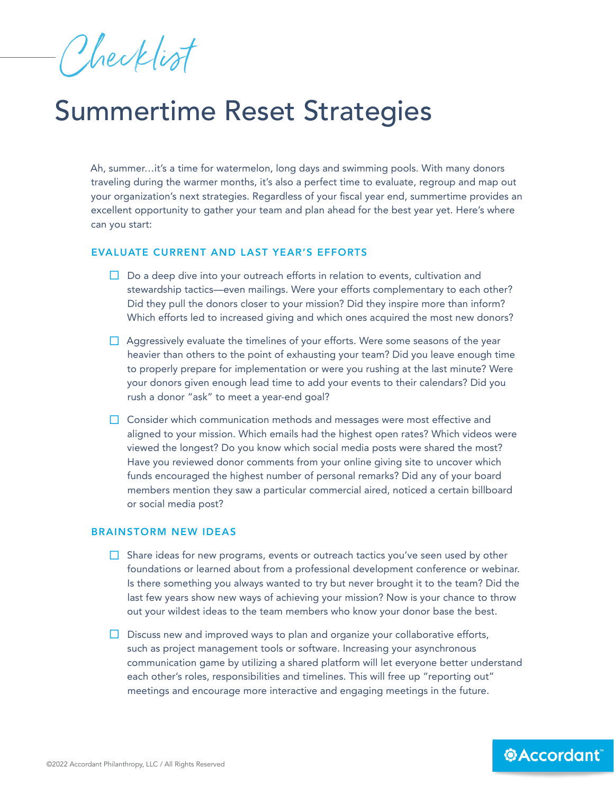Checklist

## Summertime Reset Strategies

Ah, summer…it's a time for watermelon, long days and swimming pools. With many donors traveling during the warmer months, it's also a perfect time to evaluate, regroup and map out your organization's next strategies. Regardless of your fiscal year end, summertime provides an excellent opportunity to gather your team and plan ahead for the best year yet. Here's where can you start:

## EVALUATE CURRENT AND LAST YEAR'S EFFORTS

- $\Box$  Do a deep dive into your outreach efforts in relation to events, cultivation and stewardship tactics—even mailings. Were your efforts complementary to each other? Did they pull the donors closer to your mission? Did they inspire more than inform? Which efforts led to increased giving and which ones acquired the most new donors?
- $\Box$  Aggressively evaluate the timelines of your efforts. Were some seasons of the year heavier than others to the point of exhausting your team? Did you leave enough time to properly prepare for implementation or were you rushing at the last minute? Were your donors given enough lead time to add your events to their calendars? Did you rush a donor "ask" to meet a year-end goal?
- $\Box$  Consider which communication methods and messages were most effective and aligned to your mission. Which emails had the highest open rates? Which videos were viewed the longest? Do you know which social media posts were shared the most? Have you reviewed donor comments from your online giving site to uncover which funds encouraged the highest number of personal remarks? Did any of your board members mention they saw a particular commercial aired, noticed a certain billboard or social media post?

## BRAINSTORM NEW IDEAS

- $\Box$  Share ideas for new programs, events or outreach tactics you've seen used by other foundations or learned about from a professional development conference or webinar. Is there something you always wanted to try but never brought it to the team? Did the last few years show new ways of achieving your mission? Now is your chance to throw out your wildest ideas to the team members who know your donor base the best.
- $\Box$  Discuss new and improved ways to plan and organize your collaborative efforts, such as project management tools or software. Increasing your asynchronous communication game by utilizing a shared platform will let everyone better understand each other's roles, responsibilities and timelines. This will free up "reporting out" meetings and encourage more interactive and engaging meetings in the future.

*<b>@Accordant*